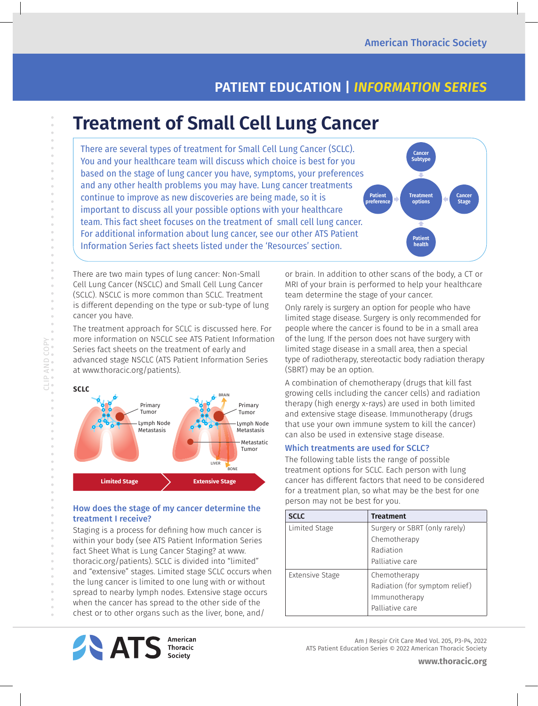**Cancer Subtype**

**Treatment options**

> **Patient health**

**Cancer Stage**

# **PATIENT EDUCATION |** *INFORMATION SERIES*

# **Treatment of Small Cell Lung Cancer**

There are several types of treatment for Small Cell Lung Cancer (SCLC). You and your healthcare team will discuss which choice is best for you based on the stage of lung cancer you have, symptoms, your preferences and any other health problems you may have. Lung cancer treatments continue to improve as new discoveries are being made, so it is important to discuss all your possible options with your healthcare team. This fact sheet focuses on the treatment of small cell lung cancer. For additional information about lung cancer, see our other ATS Patient Information Series fact sheets listed under the 'Resources' section. **Patient preference**

There are two main types of lung cancer: Non-Small Cell Lung Cancer (NSCLC) and Small Cell Lung Cancer (SCLC). NSCLC is more common than SCLC. Treatment is different depending on the type or sub-type of lung cancer you have.

The treatment approach for SCLC is discussed here. For more information on NSCLC see ATS Patient Information Series fact sheets on the treatment of early and advanced stage NSCLC (ATS Patient Information Series at www.thoracic.org/patients).

CLIP AND COPY



# How does the stage of my cancer determine the treatment I receive?

Staging is a process for defining how much cancer is within your body (see ATS Patient Information Series fact Sheet What is Lung Cancer Staging? at www. thoracic.org/patients). SCLC is divided into "limited" and "extensive" stages. Limited stage SCLC occurs when the lung cancer is limited to one lung with or without spread to nearby lymph nodes. Extensive stage occurs when the cancer has spread to the other side of the chest or to other organs such as the liver, bone, and/

or brain. In addition to other scans of the body, a CT or MRI of your brain is performed to help your healthcare team determine the stage of your cancer.

Only rarely is surgery an option for people who have limited stage disease. Surgery is only recommended for people where the cancer is found to be in a small area of the lung. If the person does not have surgery with limited stage disease in a small area, then a special type of radiotherapy, stereotactic body radiation therapy (SBRT) may be an option.

A combination of chemotherapy (drugs that kill fast growing cells including the cancer cells) and radiation therapy (high energy x-rays) are used in both limited and extensive stage disease. Immunotherapy (drugs that use your own immune system to kill the cancer) can also be used in extensive stage disease.

# Which treatments are used for SCLC?

The following table lists the range of possible treatment options for SCLC. Each person with lung cancer has different factors that need to be considered for a treatment plan, so what may be the best for one person may not be best for you.

| <b>SCLC</b>     | <b>Treatment</b>               |
|-----------------|--------------------------------|
| Limited Stage   | Surgery or SBRT (only rarely)  |
|                 | Chemotherapy                   |
|                 | Radiation                      |
|                 | Palliative care                |
| Extensive Stage | Chemotherapy                   |
|                 | Radiation (for symptom relief) |
|                 | Immunotherapy                  |
|                 | Palliative care                |